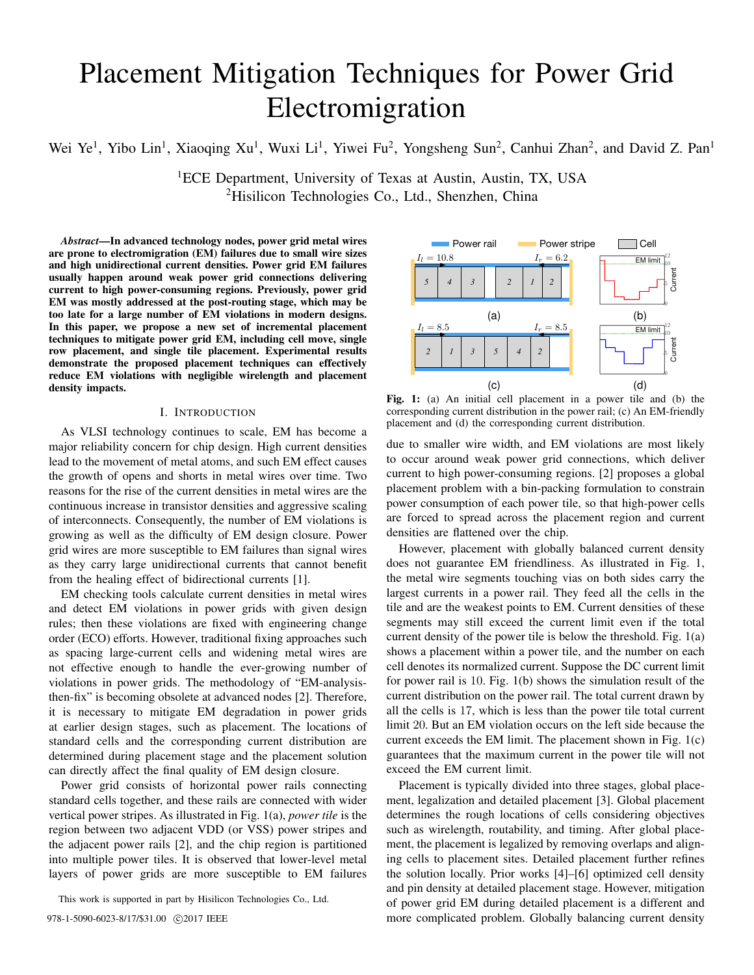# Placement Mitigation Techniques for Power Grid Electromigration

Wei Ye<sup>1</sup>, Yibo Lin<sup>1</sup>, Xiaoqing Xu<sup>1</sup>, Wuxi Li<sup>1</sup>, Yiwei Fu<sup>2</sup>, Yongsheng Sun<sup>2</sup>, Canhui Zhan<sup>2</sup>, and David Z. Pan<sup>1</sup>

<sup>1</sup>ECE Department, University of Texas at Austin, Austin, TX, USA <sup>2</sup>Hisilicon Technologies Co., Ltd., Shenzhen, China

*Abstract*—In advanced technology nodes, power grid metal wires are prone to electromigration (EM) failures due to small wire sizes and high unidirectional current densities. Power grid EM failures usually happen around weak power grid connections delivering current to high power-consuming regions. Previously, power grid EM was mostly addressed at the post-routing stage, which may be too late for a large number of EM violations in modern designs. In this paper, we propose a new set of incremental placement techniques to mitigate power grid EM, including cell move, single row placement, and single tile placement. Experimental results demonstrate the proposed placement techniques can effectively reduce EM violations with negligible wirelength and placement density impacts.

## I. INTRODUCTION

As VLSI technology continues to scale, EM has become a major reliability concern for chip design. High current densities lead to the movement of metal atoms, and such EM effect causes the growth of opens and shorts in metal wires over time. Two reasons for the rise of the current densities in metal wires are the continuous increase in transistor densities and aggressive scaling of interconnects. Consequently, the number of EM violations is growing as well as the difficulty of EM design closure. Power grid wires are more susceptible to EM failures than signal wires as they carry large unidirectional currents that cannot benefit from the healing effect of bidirectional currents [1].

EM checking tools calculate current densities in metal wires and detect EM violations in power grids with given design rules; then these violations are fixed with engineering change order (ECO) efforts. However, traditional fixing approaches such as spacing large-current cells and widening metal wires are not effective enough to handle the ever-growing number of violations in power grids. The methodology of "EM-analysisthen-fix" is becoming obsolete at advanced nodes [2]. Therefore, it is necessary to mitigate EM degradation in power grids at earlier design stages, such as placement. The locations of standard cells and the corresponding current distribution are determined during placement stage and the placement solution can directly affect the final quality of EM design closure.

Power grid consists of horizontal power rails connecting standard cells together, and these rails are connected with wider vertical power stripes. As illustrated in Fig. 1(a), *power tile* is the region between two adjacent VDD (or VSS) power stripes and the adjacent power rails [2], and the chip region is partitioned into multiple power tiles. It is observed that lower-level metal layers of power grids are more susceptible to EM failures

This work is supported in part by Hisilicon Technologies Co., Ltd.



Fig. 1: (a) An initial cell placement in a power tile and (b) the corresponding current distribution in the power rail; (c) An EM-friendly placement and (d) the corresponding current distribution.

due to smaller wire width, and EM violations are most likely to occur around weak power grid connections, which deliver current to high power-consuming regions. [2] proposes a global placement problem with a bin-packing formulation to constrain power consumption of each power tile, so that high-power cells are forced to spread across the placement region and current densities are flattened over the chip.

However, placement with globally balanced current density does not guarantee EM friendliness. As illustrated in Fig. 1, the metal wire segments touching vias on both sides carry the largest currents in a power rail. They feed all the cells in the tile and are the weakest points to EM. Current densities of these segments may still exceed the current limit even if the total current density of the power tile is below the threshold. Fig. 1(a) shows a placement within a power tile, and the number on each cell denotes its normalized current. Suppose the DC current limit for power rail is 10. Fig. 1(b) shows the simulation result of the current distribution on the power rail. The total current drawn by all the cells is 17, which is less than the power tile total current limit 20. But an EM violation occurs on the left side because the current exceeds the EM limit. The placement shown in Fig. 1(c) guarantees that the maximum current in the power tile will not exceed the EM current limit.

Placement is typically divided into three stages, global placement, legalization and detailed placement [3]. Global placement determines the rough locations of cells considering objectives such as wirelength, routability, and timing. After global placement, the placement is legalized by removing overlaps and aligning cells to placement sites. Detailed placement further refines the solution locally. Prior works [4]–[6] optimized cell density and pin density at detailed placement stage. However, mitigation of power grid EM during detailed placement is a different and 978-1-5090-6023-8/17/\$31.00  $\odot$ 2017 IEEE more complicated problem. Globally balancing current density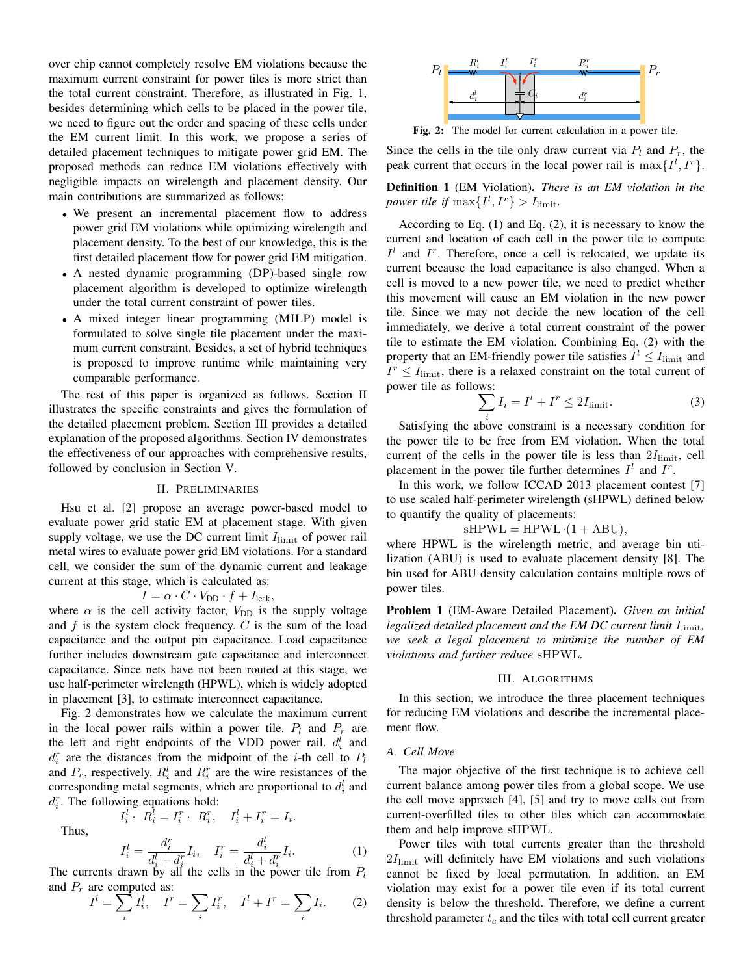over chip cannot completely resolve EM violations because the maximum current constraint for power tiles is more strict than the total current constraint. Therefore, as illustrated in Fig. 1, besides determining which cells to be placed in the power tile, we need to figure out the order and spacing of these cells under the EM current limit. In this work, we propose a series of detailed placement techniques to mitigate power grid EM. The proposed methods can reduce EM violations effectively with negligible impacts on wirelength and placement density. Our main contributions are summarized as follows:

- We present an incremental placement flow to address power grid EM violations while optimizing wirelength and placement density. To the best of our knowledge, this is the first detailed placement flow for power grid EM mitigation.
- A nested dynamic programming (DP)-based single row placement algorithm is developed to optimize wirelength under the total current constraint of power tiles.
- A mixed integer linear programming (MILP) model is formulated to solve single tile placement under the maximum current constraint. Besides, a set of hybrid techniques is proposed to improve runtime while maintaining very comparable performance.

The rest of this paper is organized as follows. Section II illustrates the specific constraints and gives the formulation of the detailed placement problem. Section III provides a detailed explanation of the proposed algorithms. Section IV demonstrates the effectiveness of our approaches with comprehensive results, followed by conclusion in Section V.

#### II. PRELIMINARIES

Hsu et al. [2] propose an average power-based model to evaluate power grid static EM at placement stage. With given supply voltage, we use the DC current limit  $I_{\text{limit}}$  of power rail metal wires to evaluate power grid EM violations. For a standard cell, we consider the sum of the dynamic current and leakage current at this stage, which is calculated as:

$$
I = \alpha \cdot C \cdot V_{\text{DD}} \cdot f + I_{\text{leak}},
$$

where  $\alpha$  is the cell activity factor,  $V_{DD}$  is the supply voltage and  $f$  is the system clock frequency.  $C$  is the sum of the load capacitance and the output pin capacitance. Load capacitance further includes downstream gate capacitance and interconnect capacitance. Since nets have not been routed at this stage, we use half-perimeter wirelength (HPWL), which is widely adopted in placement [3], to estimate interconnect capacitance.

Fig. 2 demonstrates how we calculate the maximum current in the local power rails within a power tile.  $P_l$  and  $P_r$  are the left and right endpoints of the VDD power rail.  $d_i^l$  and  $d_i^r$  are the distances from the midpoint of the *i*-th cell to  $P_l$ and  $P_r$ , respectively.  $R_i^l$  and  $R_i^r$  are the wire resistances of the corresponding metal segments, which are proportional to  $d_i^l$  and  $d_i^r$ . The following equations hold:

 $I_i^l \cdot R_i^l = I_i^r \cdot R_i^r, \quad I_i^l + I_i^r = I_i.$ 

Thus,

$$
I_i^l = \frac{d_i^r}{d_i^l + d_i^r} I_i, \quad I_i^r = \frac{d_i^l}{d_i^l + d_i^r} I_i.
$$
\nThe currents drawn by all the cells in the power tile from  $P_l$ 

and  $P_r$  are computed as:

$$
I^{l} = \sum_{i} I_{i}^{l}, \quad I^{r} = \sum_{i} I_{i}^{r}, \quad I^{l} + I^{r} = \sum_{i} I_{i}. \tag{2}
$$



Fig. 2: The model for current calculation in a power tile.

Since the cells in the tile only draw current via  $P_l$  and  $P_r$ , the peak current that occurs in the local power rail is  $\max\{I^l, I^r\}.$ 

Definition 1 (EM Violation). *There is an EM violation in the power tile if*  $\max\{I^l, I^r\} > I_{\text{limit}}$ *.* 

According to Eq. (1) and Eq. (2), it is necessary to know the current and location of each cell in the power tile to compute  $I<sup>l</sup>$  and  $I<sup>r</sup>$ . Therefore, once a cell is relocated, we update its current because the load capacitance is also changed. When a cell is moved to a new power tile, we need to predict whether this movement will cause an EM violation in the new power tile. Since we may not decide the new location of the cell immediately, we derive a total current constraint of the power tile to estimate the EM violation. Combining Eq. (2) with the property that an EM-friendly power tile satisfies  $I^l \leq I_{\text{limit}}$  and  $I^r \leq I_{\text{limit}}$ , there is a relaxed constraint on the total current of power tile as follows:

$$
\sum_{i} I_i = I^l + I^r \le 2I_{\text{limit}}.\tag{3}
$$

Satisfying the above constraint is a necessary condition for the power tile to be free from EM violation. When the total current of the cells in the power tile is less than  $2I_{\text{limit}}$ , cell placement in the power tile further determines  $I^l$  and  $I^r$ .

In this work, we follow ICCAD 2013 placement contest [7] to use scaled half-perimeter wirelength (sHPWL) defined below to quantify the quality of placements:

# $sHPWL = HPWL \cdot (1 + ABU),$

where HPWL is the wirelength metric, and average bin utilization (ABU) is used to evaluate placement density [8]. The bin used for ABU density calculation contains multiple rows of power tiles.

Problem 1 (EM-Aware Detailed Placement). *Given an initial legalized detailed placement and the EM DC current limit I*<sub>limit</sub>, *we seek a legal placement to minimize the number of EM violations and further reduce* sHPWL*.*

#### III. ALGORITHMS

In this section, we introduce the three placement techniques for reducing EM violations and describe the incremental placement flow.

# *A. Cell Move*

The major objective of the first technique is to achieve cell current balance among power tiles from a global scope. We use the cell move approach [4], [5] and try to move cells out from current-overfilled tiles to other tiles which can accommodate them and help improve sHPWL.

Power tiles with total currents greater than the threshold  $2I_{\text{limit}}$  will definitely have EM violations and such violations cannot be fixed by local permutation. In addition, an EM violation may exist for a power tile even if its total current density is below the threshold. Therefore, we define a current threshold parameter  $t_c$  and the tiles with total cell current greater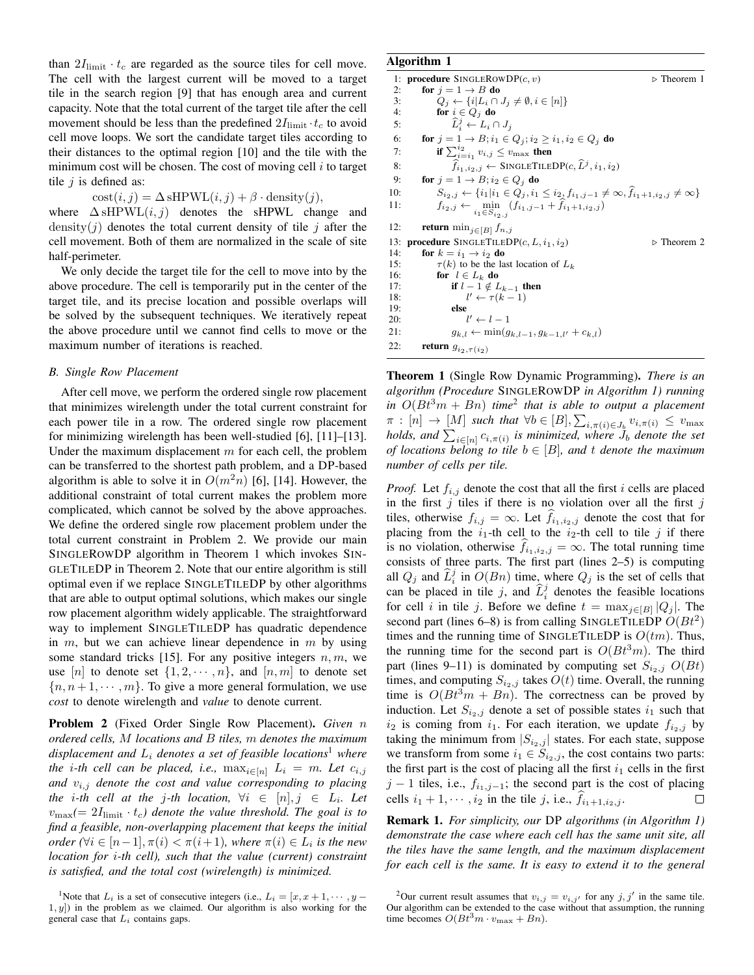than  $2I_{\text{limit}} \cdot t_c$  are regarded as the source tiles for cell move. The cell with the largest current will be moved to a target tile in the search region [9] that has enough area and current capacity. Note that the total current of the target tile after the cell movement should be less than the predefined  $2I_{\text{limit}} \cdot t_c$  to avoid cell move loops. We sort the candidate target tiles according to their distances to the optimal region [10] and the tile with the minimum cost will be chosen. The cost of moving cell  $i$  to target tile  $i$  is defined as:

 $cost(i, j) = \Delta sHPWL(i, j) + \beta \cdot density(j),$ 

where  $\Delta$  sHPWL $(i, j)$  denotes the sHPWL change and density(*j*) denotes the total current density of tile *j* after the cell movement. Both of them are normalized in the scale of site half-perimeter.

We only decide the target tile for the cell to move into by the above procedure. The cell is temporarily put in the center of the target tile, and its precise location and possible overlaps will be solved by the subsequent techniques. We iteratively repeat the above procedure until we cannot find cells to move or the maximum number of iterations is reached.

### *B. Single Row Placement*

After cell move, we perform the ordered single row placement that minimizes wirelength under the total current constraint for each power tile in a row. The ordered single row placement for minimizing wirelength has been well-studied [6], [11]–[13]. Under the maximum displacement  $m$  for each cell, the problem can be transferred to the shortest path problem, and a DP-based algorithm is able to solve it in  $O(m^2n)$  [6], [14]. However, the additional constraint of total current makes the problem more complicated, which cannot be solved by the above approaches. We define the ordered single row placement problem under the total current constraint in Problem 2. We provide our main SINGLEROWDP algorithm in Theorem 1 which invokes SIN-GLETILEDP in Theorem 2. Note that our entire algorithm is still optimal even if we replace SINGLETILEDP by other algorithms that are able to output optimal solutions, which makes our single row placement algorithm widely applicable. The straightforward way to implement SINGLETILEDP has quadratic dependence in  $m$ , but we can achieve linear dependence in  $m$  by using some standard tricks [15]. For any positive integers  $n, m$ , we use [n] to denote set  $\{1, 2, \dots, n\}$ , and  $[n, m]$  to denote set  ${n, n+1, \dots, m}$ . To give a more general formulation, we use *cost* to denote wirelength and *value* to denote current.

Problem 2 (Fixed Order Single Row Placement). *Given* n *ordered cells,* M *locations and* B *tiles,* m *denotes the maximum displacement and*  $L_i$  *denotes a set of feasible locations*<sup>1</sup> *where the i*-th cell can be placed, i.e.,  $\max_{i \in [n]} L_i = m$ . Let  $c_{i,j}$ *and* vi,j *denote the cost and value corresponding to placing the i-th cell at the j-th location,*  $\forall i \in [n], j \in L_i$ *. Let*  $v_{\text{max}}(=2I_{\text{limit}}\cdot t_c)$  denote the value threshold. The goal is to *find a feasible, non-overlapping placement that keeps the initial order*  $(\forall i \in [n-1], \pi(i) < \pi(i+1)$ , where  $\pi(i) \in L_i$  is the new *location for* i*-th cell), such that the value (current) constraint is satisfied, and the total cost (wirelength) is minimized.*

# Algorithm 1

| 1:  | <b>procedure</b> SINGLEROWDP $(c, v)$<br>$\triangleright$ Theorem 1                                                    |  |
|-----|------------------------------------------------------------------------------------------------------------------------|--|
| 2:  | for $j = 1 \rightarrow B$ do                                                                                           |  |
| 3:  | $Q_i \leftarrow \{i   L_i \cap J_i \neq \emptyset, i \in [n]\}$                                                        |  |
| 4:  | for $i \in Q_i$ do                                                                                                     |  |
| 5:  | $\widehat{L}_i^j \leftarrow L_i \cap J_j$                                                                              |  |
| 6:  | for $j = 1 \rightarrow B$ ; $i_1 \in Q_j$ ; $i_2 \geq i_1, i_2 \in Q_j$ do                                             |  |
| 7:  | if $\sum_{i=i_1}^{i_2} v_{i,j} \leq v_{\text{max}}$ then                                                               |  |
| 8:  | $f_{i_1,i_2,j} \leftarrow$ SINGLETILEDP $(c, \widehat{L}^j, i_1, i_2)$                                                 |  |
| 9:  | for $j = 1 \rightarrow B$ ; $i_2 \in Q_j$ do                                                                           |  |
| 10: | $S_{i_2,j} \leftarrow \{i_1   i_1 \in Q_j, i_1 \leq i_2, f_{i_1,j-1} \neq \infty, \hat{f}_{i_1+1,i_2,j} \neq \infty\}$ |  |
| 11: | $f_{i_2,j} \leftarrow \min_{i_1 \in S_{i_2,j}} (f_{i_1,j-1} + f_{i_1+1,i_2,j})$                                        |  |
| 12: | <b>return</b> min <sub>i</sub> $\in$ [B] $f_{n,j}$                                                                     |  |
| 13: | procedure SINGLETILEDP $(c, L, i_1, i_2)$<br>$\triangleright$ Theorem 2                                                |  |
| 14: | for $k = i_1 \rightarrow i_2$ do                                                                                       |  |
| 15: | $\tau(k)$ to be the last location of $L_k$                                                                             |  |
| 16: | for $l \in L_k$ do                                                                                                     |  |
| 17: | if $l-1 \notin L_{k-1}$ then                                                                                           |  |
| 18: | $l' \leftarrow \tau(k-1)$                                                                                              |  |
| 19: | else                                                                                                                   |  |
| 20: | $l' \leftarrow l-1$                                                                                                    |  |
| 21: | $g_{k,l} \leftarrow \min(g_{k,l-1}, g_{k-1,l'} + c_{k,l})$                                                             |  |
| 22: | return $g_{i_2,\tau(i_2)}$                                                                                             |  |

Theorem 1 (Single Row Dynamic Programming). *There is an algorithm (Procedure* SINGLEROWDP *in Algorithm 1) running in*  $O(Bt^3m + Bn)$  *time*<sup>2</sup> *that is able to output a placement*  $\pi$  :  $[n] \to [M]$  *such that*  $\forall b \in [B], \sum_{i,\pi(i) \in J_b} v_{i,\pi(i)} \leq v_{\max}$ *holds, and*  $\sum_{i \in [n]} c_{i, \pi(i)}$  *is minimized, where*  $J_b$  *denote the set of locations belong to tile* b ∈ [B]*, and* t *denote the maximum number of cells per tile.*

*Proof.* Let  $f_{i,j}$  denote the cost that all the first i cells are placed in the first  $j$  tiles if there is no violation over all the first  $j$ tiles, otherwise  $f_{i,j} = \infty$ . Let  $f_{i_1,i_2,j}$  denote the cost that for placing from the  $i_1$ -th cell to the  $i_2$ -th cell to tile j if there is no violation, otherwise  $f_{i_1,i_2,j} = \infty$ . The total running time consists of three parts. The first part (lines 2–5) is computing all  $Q_j$  and  $\hat{L}_i^j$  in  $O(Bn)$  time, where  $Q_j$  is the set of cells that can be placed in tile j, and  $\hat{L}_i^j$  denotes the feasible locations for cell *i* in tile *j*. Before we define  $t = \max_{j \in [B]} |Q_j|$ . The second part (lines 6–8) is from calling SINGLETILEDP  $O(Bt^2)$ times and the running time of SINGLETILEDP is  $O(tm)$ . Thus, the running time for the second part is  $O(Bt^3m)$ . The third part (lines 9–11) is dominated by computing set  $S_{i_2,j}$   $O(Bt)$ times, and computing  $S_{i_2,j}$  takes  $O(t)$  time. Overall, the running time is  $O(Bt^3m + Bn)$ . The correctness can be proved by induction. Let  $S_{i_2,j}$  denote a set of possible states  $i_1$  such that  $i_2$  is coming from  $i_1$ . For each iteration, we update  $f_{i_2,j}$  by taking the minimum from  $|S_{i_2,j}|$  states. For each state, suppose we transform from some  $i_1 \in S_{i_2,j}$ , the cost contains two parts: the first part is the cost of placing all the first  $i_1$  cells in the first  $j - 1$  tiles, i.e.,  $f_{i_1,j-1}$ ; the second part is the cost of placing cells  $i_1 + 1, \dots, i_2$  in the tile j, i.e.,  $f_{i_1+1,i_2,j}$ . П

Remark 1. *For simplicity, our* DP *algorithms (in Algorithm 1) demonstrate the case where each cell has the same unit site, all the tiles have the same length, and the maximum displacement for each cell is the same. It is easy to extend it to the general*

<sup>&</sup>lt;sup>1</sup>Note that  $L_i$  is a set of consecutive integers (i.e.,  $L_i = [x, x+1, \cdots, y-1]$  $1, y$ ]) in the problem as we claimed. Our algorithm is also working for the general case that  $L_i$  contains gaps.

<sup>&</sup>lt;sup>2</sup>Our current result assumes that  $v_{i,j} = v_{i,j'}$  for any  $j, j'$  in the same tile. Our algorithm can be extended to the case without that assumption, the running time becomes  $O(Bt^3m \cdot v_{\text{max}} + Bn)$ .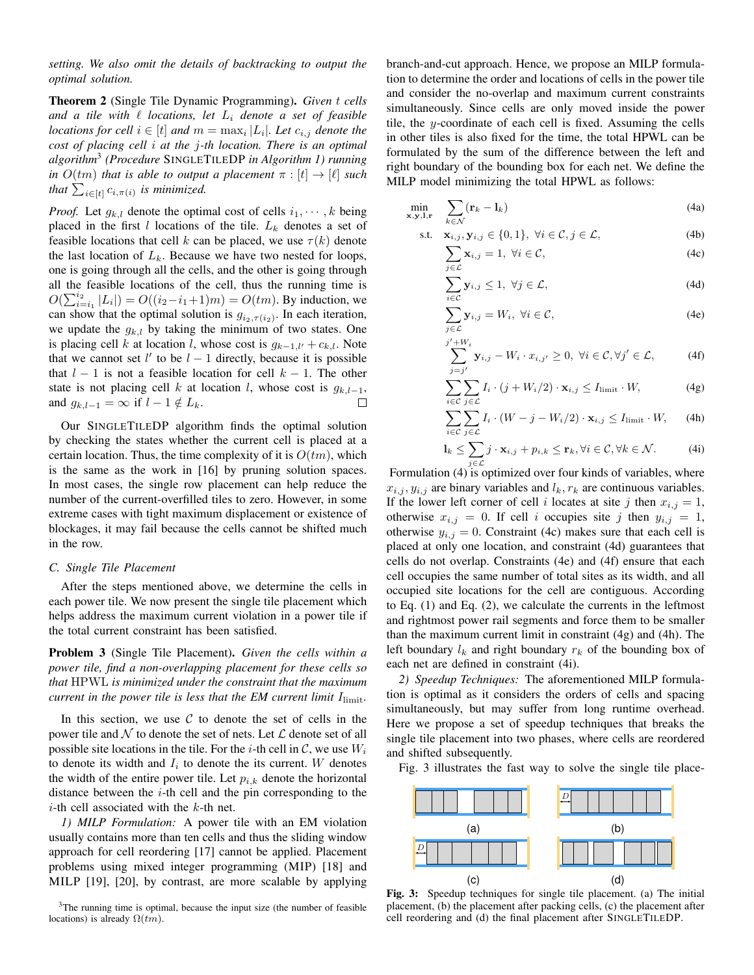*setting. We also omit the details of backtracking to output the optimal solution.*

Theorem 2 (Single Tile Dynamic Programming). *Given* t *cells* and a tile with  $\ell$  *locations, let*  $L_i$  *denote a set of feasible locations for cell*  $i \in [t]$  *and*  $m = \max_i |L_i|$ *. Let*  $c_{i,j}$  *denote the cost of placing cell* i *at the* j*-th location. There is an optimal algorithm*<sup>3</sup> *(Procedure* SINGLETILEDP *in Algorithm 1) running in*  $O(tm)$  *that is able to output a placement*  $\pi : [t] \rightarrow [\ell]$  *such that*  $\sum_{i \in [t]} c_{i, \pi(i)}$  *is minimized.* 

*Proof.* Let  $g_{k,l}$  denote the optimal cost of cells  $i_1, \dots, k$  being placed in the first l locations of the tile.  $L_k$  denotes a set of feasible locations that cell k can be placed, we use  $\tau(k)$  denote the last location of  $L_k$ . Because we have two nested for loops, one is going through all the cells, and the other is going through all the feasible locations of the cell, thus the running time is  $O(\sum_{i=i_1}^{i_2} |L_i|) = O((i_2 - i_1 + 1)m) = O(tm)$ . By induction, we can show that the optimal solution is  $g_{i_2,\tau(i_2)}$ . In each iteration, we update the  $g_{k,l}$  by taking the minimum of two states. One is placing cell k at location l, whose cost is  $g_{k-1,l'} + c_{k,l}$ . Note that we cannot set  $l'$  to be  $l - 1$  directly, because it is possible that  $l - 1$  is not a feasible location for cell  $k - 1$ . The other state is not placing cell k at location l, whose cost is  $g_{k,l-1}$ , and  $g_{k,l-1} = \infty$  if  $l-1 \notin L_k$ . □

Our SINGLETILEDP algorithm finds the optimal solution by checking the states whether the current cell is placed at a certain location. Thus, the time complexity of it is  $O(tm)$ , which is the same as the work in [16] by pruning solution spaces. In most cases, the single row placement can help reduce the number of the current-overfilled tiles to zero. However, in some extreme cases with tight maximum displacement or existence of blockages, it may fail because the cells cannot be shifted much in the row.

### *C. Single Tile Placement*

After the steps mentioned above, we determine the cells in each power tile. We now present the single tile placement which helps address the maximum current violation in a power tile if the total current constraint has been satisfied.

Problem 3 (Single Tile Placement). *Given the cells within a power tile, find a non-overlapping placement for these cells so that* HPWL *is minimized under the constraint that the maximum current in the power tile is less that the EM current limit I*<sub>limit</sub>.

In this section, we use  $C$  to denote the set of cells in the power tile and N to denote the set of nets. Let  $\mathcal L$  denote set of all possible site locations in the tile. For the *i*-th cell in  $C$ , we use  $W_i$ to denote its width and  $I_i$  to denote the its current. W denotes the width of the entire power tile. Let  $p_{i,k}$  denote the horizontal distance between the  $i$ -th cell and the pin corresponding to the *i*-th cell associated with the  $k$ -th net.

*1) MILP Formulation:* A power tile with an EM violation usually contains more than ten cells and thus the sliding window approach for cell reordering [17] cannot be applied. Placement problems using mixed integer programming (MIP) [18] and MILP [19], [20], by contrast, are more scalable by applying

 $3$ The running time is optimal, because the input size (the number of feasible locations) is already  $\Omega(tm)$ .

branch-and-cut approach. Hence, we propose an MILP formulation to determine the order and locations of cells in the power tile and consider the no-overlap and maximum current constraints simultaneously. Since cells are only moved inside the power tile, the y-coordinate of each cell is fixed. Assuming the cells in other tiles is also fixed for the time, the total HPWL can be formulated by the sum of the difference between the left and right boundary of the bounding box for each net. We define the MILP model minimizing the total HPWL as follows:

$$
\min_{\mathbf{x},\mathbf{y},\mathbf{l},\mathbf{r}} \quad \sum_{k\in\mathcal{N}} (\mathbf{r}_k - \mathbf{l}_k) \tag{4a}
$$

$$
\text{s.t.} \quad \mathbf{x}_{i,j}, \mathbf{y}_{i,j} \in \{0, 1\}, \ \forall i \in \mathcal{C}, j \in \mathcal{L}, \tag{4b}
$$

j  $\overline{\phantom{a}}$ 

$$
\sum_{j \in \mathcal{L}} \mathbf{x}_{i,j} = 1, \ \forall i \in \mathcal{C}, \tag{4c}
$$

$$
\sum_{i \in \mathcal{C}} \mathbf{y}_{i,j} \leq 1, \ \forall j \in \mathcal{L}, \tag{4d}
$$

$$
\sum_{j \in \mathcal{L}} \mathbf{y}_{i,j} = W_i, \ \forall i \in \mathcal{C}, \tag{4e}
$$

$$
\sum_{j=j'}^{j+W_i} \mathbf{y}_{i,j} - W_i \cdot x_{i,j'} \ge 0, \ \forall i \in \mathcal{C}, \forall j' \in \mathcal{L}, \tag{4f}
$$

$$
\sum_{i \in \mathcal{C}} \sum_{j \in \mathcal{L}} I_i \cdot (j + W_i/2) \cdot \mathbf{x}_{i,j} \le I_{\text{limit}} \cdot W, \tag{4g}
$$

$$
\sum_{i \in \mathcal{C}} \sum_{j \in \mathcal{L}} I_i \cdot (W - j - W_i/2) \cdot \mathbf{x}_{i,j} \le I_{\text{limit}} \cdot W, \qquad \text{(4h)}
$$

$$
\mathbf{l}_{k} \leq \sum_{j \in \mathcal{L}} j \cdot \mathbf{x}_{i,j} + p_{i,k} \leq \mathbf{r}_{k}, \forall i \in \mathcal{C}, \forall k \in \mathcal{N}.
$$
 (4i)

Formulation (4) is optimized over four kinds of variables, where  $x_{i,j}, y_{i,j}$  are binary variables and  $l_k, r_k$  are continuous variables. If the lower left corner of cell i locates at site j then  $x_{i,j} = 1$ , otherwise  $x_{i,j} = 0$ . If cell i occupies site j then  $y_{i,j} = 1$ , otherwise  $y_{i,j} = 0$ . Constraint (4c) makes sure that each cell is placed at only one location, and constraint (4d) guarantees that cells do not overlap. Constraints (4e) and (4f) ensure that each cell occupies the same number of total sites as its width, and all occupied site locations for the cell are contiguous. According to Eq. (1) and Eq. (2), we calculate the currents in the leftmost and rightmost power rail segments and force them to be smaller than the maximum current limit in constraint (4g) and (4h). The left boundary  $l_k$  and right boundary  $r_k$  of the bounding box of each net are defined in constraint (4i).

*2) Speedup Techniques:* The aforementioned MILP formulation is optimal as it considers the orders of cells and spacing simultaneously, but may suffer from long runtime overhead. Here we propose a set of speedup techniques that breaks the single tile placement into two phases, where cells are reordered and shifted subsequently.

Fig. 3 illustrates the fast way to solve the single tile place-



Fig. 3: Speedup techniques for single tile placement. (a) The initial placement, (b) the placement after packing cells, (c) the placement after cell reordering and (d) the final placement after SINGLETILEDP.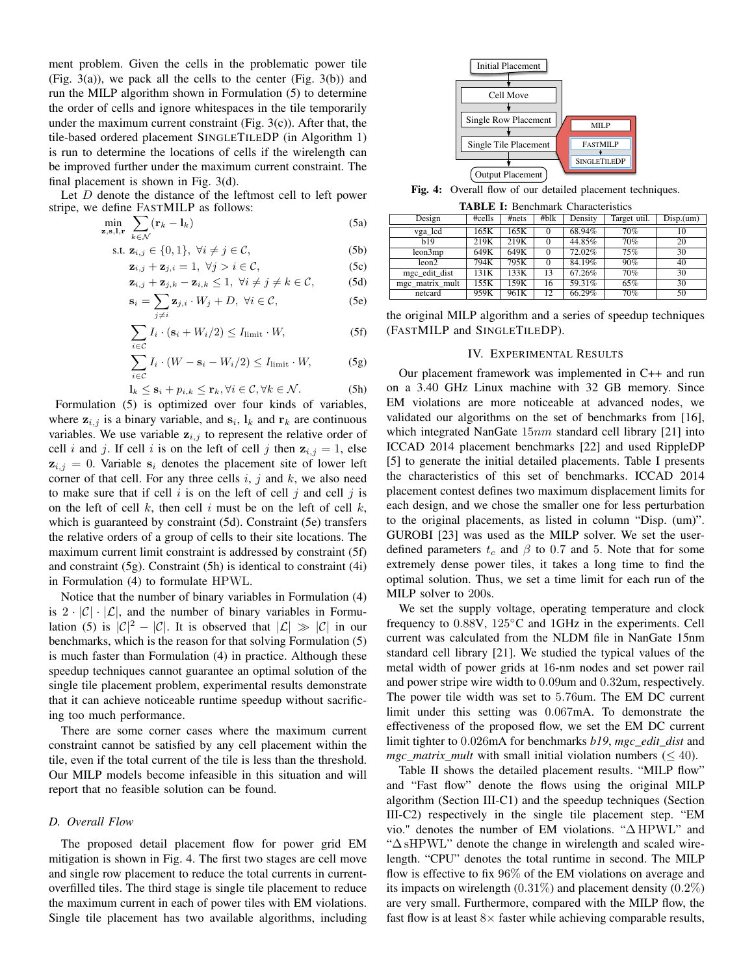ment problem. Given the cells in the problematic power tile (Fig. 3(a)), we pack all the cells to the center (Fig. 3(b)) and run the MILP algorithm shown in Formulation (5) to determine the order of cells and ignore whitespaces in the tile temporarily under the maximum current constraint (Fig. 3(c)). After that, the tile-based ordered placement SINGLETILEDP (in Algorithm 1) is run to determine the locations of cells if the wirelength can be improved further under the maximum current constraint. The final placement is shown in Fig. 3(d).

Let D denote the distance of the leftmost cell to left power stripe, we define FASTMILP as follows:

$$
\min_{\mathbf{z},\mathbf{s},\mathbf{l},\mathbf{r}}\sum_{k\in\mathcal{N}}(\mathbf{r}_k-\mathbf{l}_k)\tag{5a}
$$

$$
\text{s.t. } \mathbf{z}_{i,j} \in \{0,1\}, \ \forall i \neq j \in \mathcal{C}, \tag{5b}
$$

$$
\mathbf{z}_{i,j} + \mathbf{z}_{j,i} = 1, \ \forall j > i \in \mathcal{C}, \tag{5c}
$$

$$
\mathbf{z}_{i,j} + \mathbf{z}_{j,k} - \mathbf{z}_{i,k} \leq 1, \ \forall i \neq j \neq k \in \mathcal{C}, \tag{5d}
$$

$$
\mathbf{s}_{i} = \sum_{j \neq i} \mathbf{z}_{j,i} \cdot W_{j} + D, \ \forall i \in \mathcal{C}, \tag{5e}
$$

$$
\sum_{i \in \mathcal{C}} I_i \cdot (\mathbf{s}_i + W_i/2) \le I_{\text{limit}} \cdot W,\tag{5f}
$$

$$
\sum_{i \in \mathcal{C}} I_i \cdot (W - \mathbf{s}_i - W_i/2) \le I_{\text{limit}} \cdot W,\tag{5g}
$$

$$
\mathbf{l}_k \le \mathbf{s}_i + p_{i,k} \le \mathbf{r}_k, \forall i \in \mathcal{C}, \forall k \in \mathcal{N}.
$$
 (5h)

Formulation (5) is optimized over four kinds of variables, where  $z_{i,j}$  is a binary variable, and  $s_i$ ,  $l_k$  and  $r_k$  are continuous variables. We use variable  $z_{i,j}$  to represent the relative order of cell i and j. If cell i is on the left of cell j then  $z_{i,j} = 1$ , else  $z_{i,j} = 0$ . Variable  $s_i$  denotes the placement site of lower left corner of that cell. For any three cells  $i, j$  and  $k$ , we also need to make sure that if cell i is on the left of cell j and cell j is on the left of cell  $k$ , then cell  $i$  must be on the left of cell  $k$ , which is guaranteed by constraint (5d). Constraint (5e) transfers the relative orders of a group of cells to their site locations. The maximum current limit constraint is addressed by constraint (5f) and constraint (5g). Constraint (5h) is identical to constraint (4i) in Formulation (4) to formulate HPWL.

Notice that the number of binary variables in Formulation (4) is  $2 \cdot |\mathcal{C}| \cdot |\mathcal{L}|$ , and the number of binary variables in Formulation (5) is  $|C|^2 - |C|$ . It is observed that  $|C| \gg |C|$  in our benchmarks, which is the reason for that solving Formulation (5) is much faster than Formulation (4) in practice. Although these speedup techniques cannot guarantee an optimal solution of the single tile placement problem, experimental results demonstrate that it can achieve noticeable runtime speedup without sacrificing too much performance.

There are some corner cases where the maximum current constraint cannot be satisfied by any cell placement within the tile, even if the total current of the tile is less than the threshold. Our MILP models become infeasible in this situation and will report that no feasible solution can be found.

#### *D. Overall Flow*

The proposed detail placement flow for power grid EM mitigation is shown in Fig. 4. The first two stages are cell move and single row placement to reduce the total currents in currentoverfilled tiles. The third stage is single tile placement to reduce the maximum current in each of power tiles with EM violations. Single tile placement has two available algorithms, including



Fig. 4: Overall flow of our detailed placement techniques.

TABLE I: Benchmark Characteristics

| Design          | #cells | #nets | #blk | Density | Target util. | $\overline{Disp.}$ (um) |
|-----------------|--------|-------|------|---------|--------------|-------------------------|
| vga lcd         | 165K   | 165K  | 0    | 68.94%  | 70%          | 10                      |
| b19             | 219K   | 219K  |      | 44.85%  | 70%          | 20                      |
| leon3mp         | 649K   | 649K  |      | 72.02%  | 75%          | 30                      |
| leon2           | 794K   | 795K  | 0    | 84.19%  | 90%          | 40                      |
| mgc edit dist   | 131K   | 133K  | 13   | 67.26%  | 70%          | 30                      |
| mgc matrix mult | 155K   | 159K  | 16   | 59.31%  | 65%          | 30                      |
| netcard         | 959K   | 961K  | 12   | 66.29%  | 70%          | 50                      |

the original MILP algorithm and a series of speedup techniques (FASTMILP and SINGLETILEDP).

# IV. EXPERIMENTAL RESULTS

Our placement framework was implemented in C++ and run on a 3.40 GHz Linux machine with 32 GB memory. Since EM violations are more noticeable at advanced nodes, we validated our algorithms on the set of benchmarks from [16], which integrated NanGate  $15nm$  standard cell library [21] into ICCAD 2014 placement benchmarks [22] and used RippleDP [5] to generate the initial detailed placements. Table I presents the characteristics of this set of benchmarks. ICCAD 2014 placement contest defines two maximum displacement limits for each design, and we chose the smaller one for less perturbation to the original placements, as listed in column "Disp. (um)". GUROBI [23] was used as the MILP solver. We set the userdefined parameters  $t_c$  and  $\beta$  to 0.7 and 5. Note that for some extremely dense power tiles, it takes a long time to find the optimal solution. Thus, we set a time limit for each run of the MILP solver to 200s.

We set the supply voltage, operating temperature and clock frequency to 0.88V, 125◦C and 1GHz in the experiments. Cell current was calculated from the NLDM file in NanGate 15nm standard cell library [21]. We studied the typical values of the metal width of power grids at 16-nm nodes and set power rail and power stripe wire width to 0.09um and 0.32um, respectively. The power tile width was set to 5.76um. The EM DC current limit under this setting was 0.067mA. To demonstrate the effectiveness of the proposed flow, we set the EM DC current limit tighter to 0.026mA for benchmarks *b19*, *mgc\_edit\_dist* and *mgc\_matrix\_mult* with small initial violation numbers ( $\leq 40$ ).

Table II shows the detailed placement results. "MILP flow" and "Fast flow" denote the flows using the original MILP algorithm (Section III-C1) and the speedup techniques (Section III-C2) respectively in the single tile placement step. "EM vio." denotes the number of EM violations. "∆ HPWL" and "∆ sHPWL" denote the change in wirelength and scaled wirelength. "CPU" denotes the total runtime in second. The MILP flow is effective to fix 96% of the EM violations on average and its impacts on wirelength  $(0.31\%)$  and placement density  $(0.2\%)$ are very small. Furthermore, compared with the MILP flow, the fast flow is at least  $8\times$  faster while achieving comparable results,